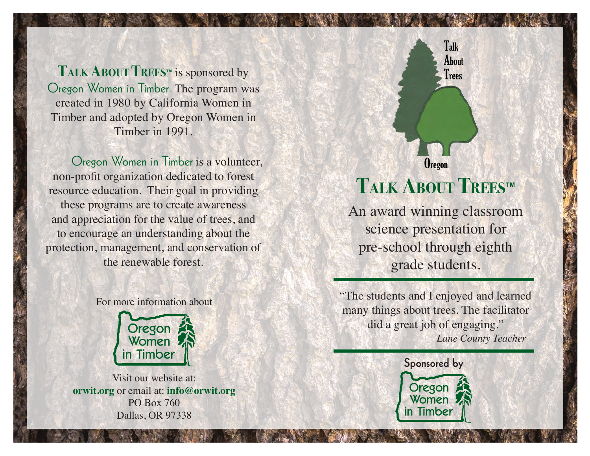**Talk About Treestm** is sponsored by Oregon Women in Timber. The program was created in 1980 by California Women in Timber and adopted by Oregon Women in Timber in 1991.

Oregon Women in Timber is a volunteer, non-profit organization dedicated to forest resource education. Their goal in providing these programs are to create awareness and appreciation for the value of trees, and to encourage an understanding about the protection, management, and conservation of the renewable forest.





Visit our website at: **orwit.org** or email at: **info@orwit.org** PO Box 760 Dallas, OR 97338



# **Talk About Treestm**

An award winning classroom science presentation for pre-school through eighth grade students.

"The students and I enjoyed and learned many things about trees. The facilitator did a great job of engaging."  *Lane County Teacher*